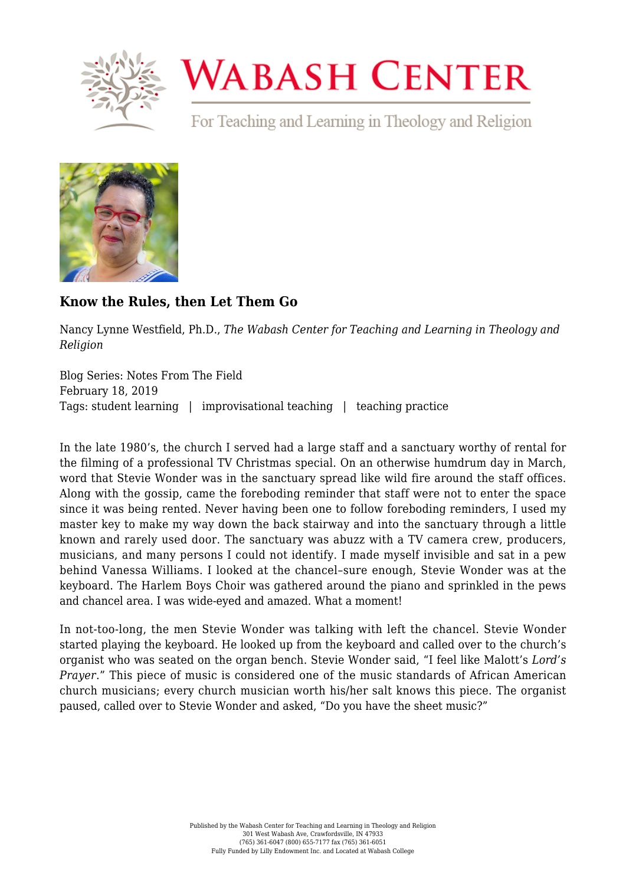

## **WABASH CENTER**

For Teaching and Learning in Theology and Religion



## **[Know the Rules, then Let Them Go](https://www.wabashcenter.wabash.edu/2019/02/know-the-rules-then-let-them-go/)**

Nancy Lynne Westfield, Ph.D., *The Wabash Center for Teaching and Learning in Theology and Religion*

Blog Series: Notes From The Field February 18, 2019 Tags: student learning | improvisational teaching | teaching practice

In the late 1980's, the church I served had a large staff and a sanctuary worthy of rental for the filming of a professional TV Christmas special. On an otherwise humdrum day in March, word that Stevie Wonder was in the sanctuary spread like wild fire around the staff offices. Along with the gossip, came the foreboding reminder that staff were not to enter the space since it was being rented. Never having been one to follow foreboding reminders, I used my master key to make my way down the back stairway and into the sanctuary through a little known and rarely used door. The sanctuary was abuzz with a TV camera crew, producers, musicians, and many persons I could not identify. I made myself invisible and sat in a pew behind Vanessa Williams. I looked at the chancel–sure enough, Stevie Wonder was at the keyboard. The Harlem Boys Choir was gathered around the piano and sprinkled in the pews and chancel area. I was wide-eyed and amazed. What a moment!

In not-too-long, the men Stevie Wonder was talking with left the chancel. Stevie Wonder started playing the keyboard. He looked up from the keyboard and called over to the church's organist who was seated on the organ bench. Stevie Wonder said, "I feel like Malott's *Lord's Prayer*." This piece of music is considered one of the music standards of African American church musicians; every church musician worth his/her salt knows this piece. The organist paused, called over to Stevie Wonder and asked, "Do you have the sheet music?"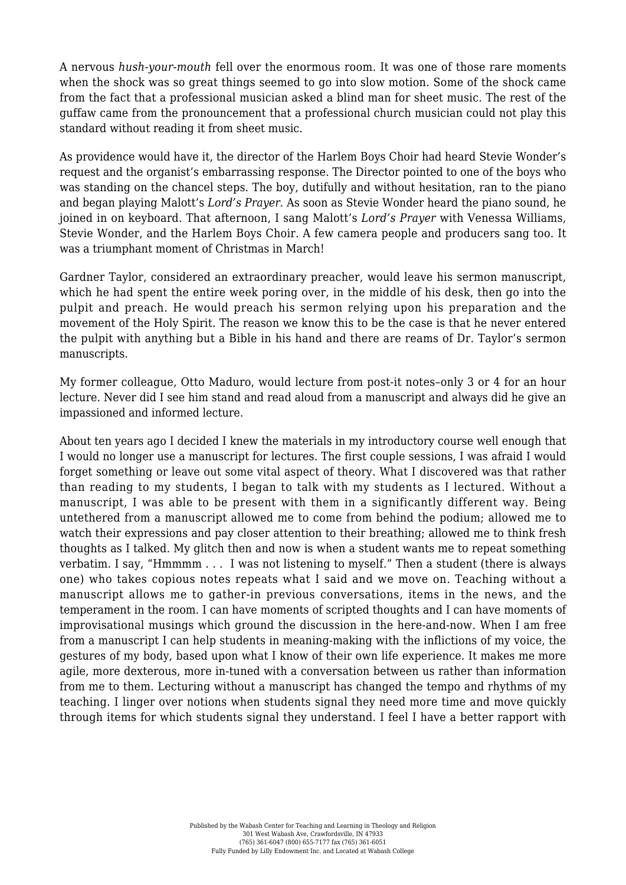A nervous *hush-your-mouth* fell over the enormous room. It was one of those rare moments when the shock was so great things seemed to go into slow motion. Some of the shock came from the fact that a professional musician asked a blind man for sheet music. The rest of the guffaw came from the pronouncement that a professional church musician could not play this standard without reading it from sheet music.

As providence would have it, the director of the Harlem Boys Choir had heard Stevie Wonder's request and the organist's embarrassing response. The Director pointed to one of the boys who was standing on the chancel steps. The boy, dutifully and without hesitation, ran to the piano and began playing Malott's *Lord's Prayer.* As soon as Stevie Wonder heard the piano sound, he joined in on keyboard. That afternoon, I sang Malott's *Lord's Prayer* with Venessa Williams, Stevie Wonder, and the Harlem Boys Choir. A few camera people and producers sang too. It was a triumphant moment of Christmas in March!

Gardner Taylor, considered an extraordinary preacher, would leave his sermon manuscript, which he had spent the entire week poring over, in the middle of his desk, then go into the pulpit and preach. He would preach his sermon relying upon his preparation and the movement of the Holy Spirit. The reason we know this to be the case is that he never entered the pulpit with anything but a Bible in his hand and there are reams of Dr. Taylor's sermon manuscripts.

My former colleague, Otto Maduro, would lecture from post-it notes–only 3 or 4 for an hour lecture. Never did I see him stand and read aloud from a manuscript and always did he give an impassioned and informed lecture.

About ten years ago I decided I knew the materials in my introductory course well enough that I would no longer use a manuscript for lectures. The first couple sessions, I was afraid I would forget something or leave out some vital aspect of theory. What I discovered was that rather than reading to my students, I began to talk with my students as I lectured. Without a manuscript, I was able to be present with them in a significantly different way. Being untethered from a manuscript allowed me to come from behind the podium; allowed me to watch their expressions and pay closer attention to their breathing; allowed me to think fresh thoughts as I talked. My glitch then and now is when a student wants me to repeat something verbatim. I say, "Hmmmm . . . I was not listening to myself." Then a student (there is always one) who takes copious notes repeats what I said and we move on. Teaching without a manuscript allows me to gather-in previous conversations, items in the news, and the temperament in the room. I can have moments of scripted thoughts and I can have moments of improvisational musings which ground the discussion in the here-and-now. When I am free from a manuscript I can help students in meaning-making with the inflictions of my voice, the gestures of my body, based upon what I know of their own life experience. It makes me more agile, more dexterous, more in-tuned with a conversation between us rather than information from me to them. Lecturing without a manuscript has changed the tempo and rhythms of my teaching. I linger over notions when students signal they need more time and move quickly through items for which students signal they understand. I feel I have a better rapport with